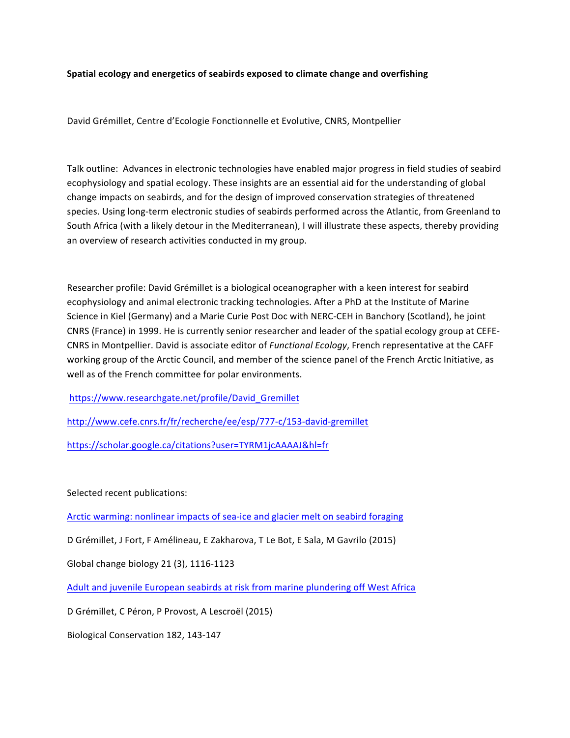## **Spatial ecology and energetics of seabirds exposed to climate change and overfishing**

David Grémillet, Centre d'Ecologie Fonctionnelle et Evolutive, CNRS, Montpellier

Talk outline: Advances in electronic technologies have enabled major progress in field studies of seabird ecophysiology and spatial ecology. These insights are an essential aid for the understanding of global change impacts on seabirds, and for the design of improved conservation strategies of threatened species. Using long-term electronic studies of seabirds performed across the Atlantic, from Greenland to South Africa (with a likely detour in the Mediterranean), I will illustrate these aspects, thereby providing an overview of research activities conducted in my group.

Researcher profile: David Grémillet is a biological oceanographer with a keen interest for seabird ecophysiology and animal electronic tracking technologies. After a PhD at the Institute of Marine Science in Kiel (Germany) and a Marie Curie Post Doc with NERC-CEH in Banchory (Scotland), he joint CNRS (France) in 1999. He is currently senior researcher and leader of the spatial ecology group at CEFE-CNRS in Montpellier. David is associate editor of *Functional Ecology*, French representative at the CAFF working group of the Arctic Council, and member of the science panel of the French Arctic Initiative, as well as of the French committee for polar environments.

https://www.researchgate.net/profile/David\_Gremillet

http://www.cefe.cnrs.fr/fr/recherche/ee/esp/777-c/153-david-gremillet

https://scholar.google.ca/citations?user=TYRM1jcAAAAJ&hl=fr

Selected recent publications:

Arctic warming: nonlinear impacts of sea-ice and glacier melt on seabird foraging

D Grémillet, J Fort, F Amélineau, E Zakharova, T Le Bot, E Sala, M Gavrilo (2015)

Global change biology 21 (3), 1116-1123

Adult and juvenile European seabirds at risk from marine plundering off West Africa

D Grémillet, C Péron, P Provost, A Lescroël (2015)

Biological Conservation 182, 143-147